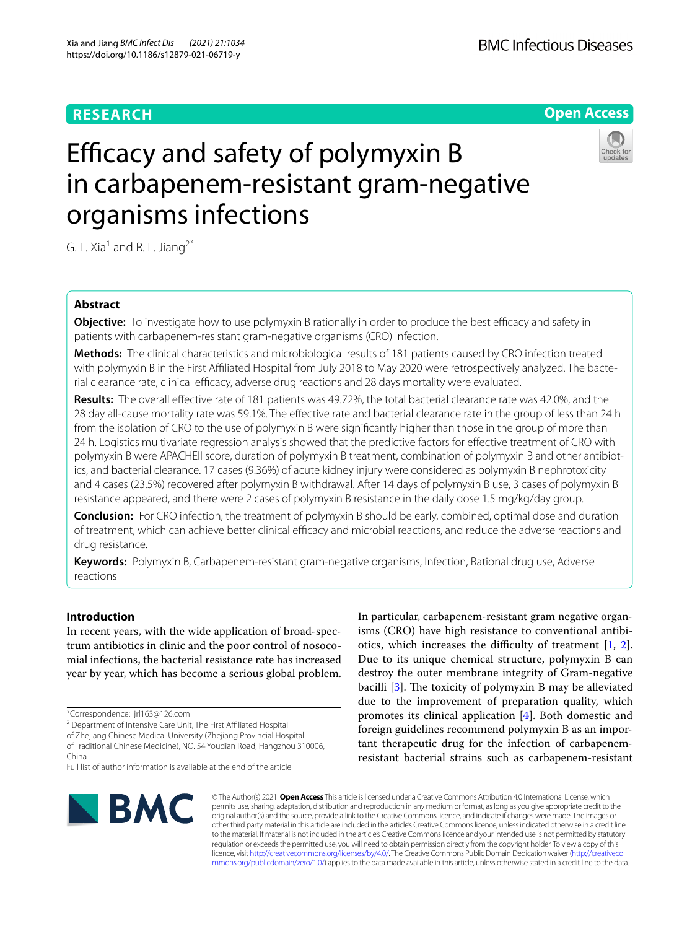# **RESEARCH**



# Efficacy and safety of polymyxin B in carbapenem-resistant gram-negative organisms infections

G. L. Xia<sup>1</sup> and R. L. Jiang<sup>2\*</sup>

# **Abstract**

**Objective:** To investigate how to use polymyxin B rationally in order to produce the best efficacy and safety in patients with carbapenem-resistant gram-negative organisms (CRO) infection.

**Methods:** The clinical characteristics and microbiological results of 181 patients caused by CRO infection treated with polymyxin B in the First Afliated Hospital from July 2018 to May 2020 were retrospectively analyzed. The bacterial clearance rate, clinical efficacy, adverse drug reactions and 28 days mortality were evaluated.

**Results:** The overall efective rate of 181 patients was 49.72%, the total bacterial clearance rate was 42.0%, and the 28 day all-cause mortality rate was 59.1%. The efective rate and bacterial clearance rate in the group of less than 24 h from the isolation of CRO to the use of polymyxin B were signifcantly higher than those in the group of more than 24 h. Logistics multivariate regression analysis showed that the predictive factors for efective treatment of CRO with polymyxin B were APACHEII score, duration of polymyxin B treatment, combination of polymyxin B and other antibiotics, and bacterial clearance. 17 cases (9.36%) of acute kidney injury were considered as polymyxin B nephrotoxicity and 4 cases (23.5%) recovered after polymyxin B withdrawal. After 14 days of polymyxin B use, 3 cases of polymyxin B resistance appeared, and there were 2 cases of polymyxin B resistance in the daily dose 1.5 mg/kg/day group.

**Conclusion:** For CRO infection, the treatment of polymyxin B should be early, combined, optimal dose and duration of treatment, which can achieve better clinical efficacy and microbial reactions, and reduce the adverse reactions and drug resistance.

**Keywords:** Polymyxin B, Carbapenem-resistant gram-negative organisms, Infection, Rational drug use, Adverse reactions

# **Introduction**

In recent years, with the wide application of broad-spectrum antibiotics in clinic and the poor control of nosocomial infections, the bacterial resistance rate has increased year by year, which has become a serious global problem.

of Zhejiang Chinese Medical University (Zhejiang Provincial Hospital of Traditional Chinese Medicine), NO. 54 Youdian Road, Hangzhou 310006, China

In particular, carbapenem-resistant gram negative organisms (CRO) have high resistance to conventional antibiotics, which increases the difficulty of treatment  $[1, 2]$  $[1, 2]$  $[1, 2]$  $[1, 2]$ . Due to its unique chemical structure, polymyxin B can destroy the outer membrane integrity of Gram-negative bacilli  $[3]$  $[3]$ . The toxicity of polymyxin B may be alleviated due to the improvement of preparation quality, which promotes its clinical application [\[4](#page-7-3)]. Both domestic and foreign guidelines recommend polymyxin B as an important therapeutic drug for the infection of carbapenemresistant bacterial strains such as carbapenem-resistant



© The Author(s) 2021. **Open Access** This article is licensed under a Creative Commons Attribution 4.0 International License, which permits use, sharing, adaptation, distribution and reproduction in any medium or format, as long as you give appropriate credit to the original author(s) and the source, provide a link to the Creative Commons licence, and indicate if changes were made. The images or other third party material in this article are included in the article's Creative Commons licence, unless indicated otherwise in a credit line to the material. If material is not included in the article's Creative Commons licence and your intended use is not permitted by statutory regulation or exceeds the permitted use, you will need to obtain permission directly from the copyright holder. To view a copy of this licence, visit [http://creativecommons.org/licenses/by/4.0/.](http://creativecommons.org/licenses/by/4.0/) The Creative Commons Public Domain Dedication waiver ([http://creativeco](http://creativecommons.org/publicdomain/zero/1.0/) [mmons.org/publicdomain/zero/1.0/](http://creativecommons.org/publicdomain/zero/1.0/)) applies to the data made available in this article, unless otherwise stated in a credit line to the data.

<sup>\*</sup>Correspondence: jrl163@126.com

<sup>&</sup>lt;sup>2</sup> Department of Intensive Care Unit, The First Affiliated Hospital

Full list of author information is available at the end of the article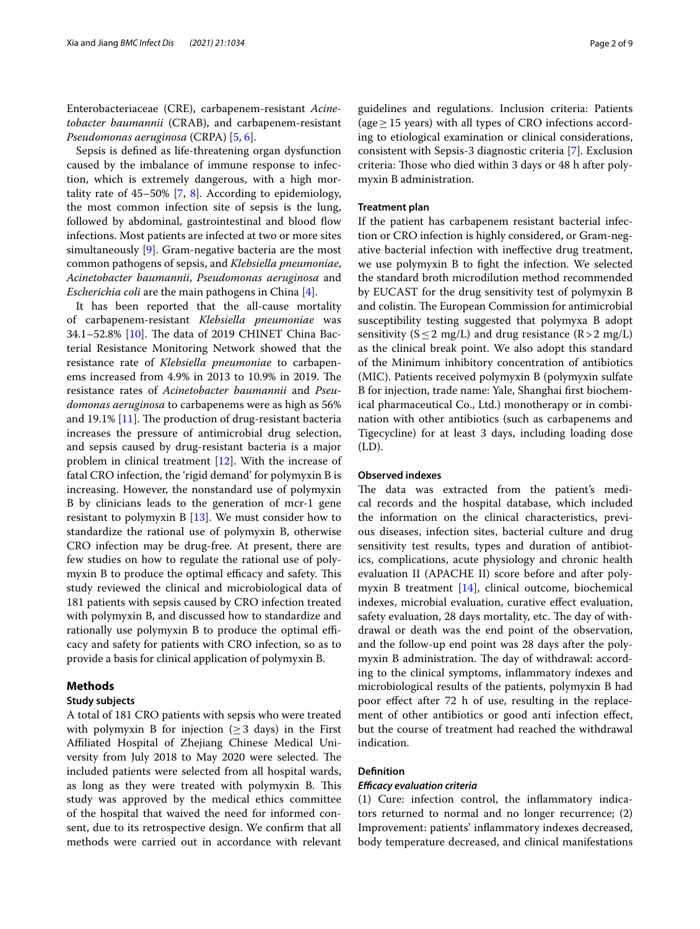Enterobacteriaceae (CRE), carbapenem-resistant *Acinetobacter baumannii* (CRAB), and carbapenem-resistant *Pseudomonas aeruginosa* (CRPA) [\[5](#page-7-4), [6\]](#page-7-5).

Sepsis is defned as life-threatening organ dysfunction caused by the imbalance of immune response to infection, which is extremely dangerous, with a high mortality rate of  $45-50\%$  [\[7,](#page-7-6) [8\]](#page-7-7). According to epidemiology, the most common infection site of sepsis is the lung, followed by abdominal, gastrointestinal and blood flow infections. Most patients are infected at two or more sites simultaneously [[9](#page-7-8)]. Gram-negative bacteria are the most common pathogens of sepsis, and *Klebsiella pneumoniae*, *Acinetobacter baumannii*, *Pseudomonas aeruginosa* and *Escherichia coli* are the main pathogens in China [\[4](#page-7-3)].

It has been reported that the all-cause mortality of carbapenem-resistant *Klebsiella pneumoniae* was  $34.1 - 52.8\%$  [\[10\]](#page-7-9). The data of 2019 CHINET China Bacterial Resistance Monitoring Network showed that the resistance rate of *Klebsiella pneumoniae* to carbapenems increased from 4.9% in 2013 to 10.9% in 2019. The resistance rates of *Acinetobacter baumannii* and *Pseudomonas aeruginosa* to carbapenems were as high as 56% and 19.1%  $[11]$  $[11]$ . The production of drug-resistant bacteria increases the pressure of antimicrobial drug selection, and sepsis caused by drug-resistant bacteria is a major problem in clinical treatment [[12\]](#page-7-11). With the increase of fatal CRO infection, the 'rigid demand' for polymyxin B is increasing. However, the nonstandard use of polymyxin B by clinicians leads to the generation of mcr-1 gene resistant to polymyxin B [[13\]](#page-7-12). We must consider how to standardize the rational use of polymyxin B, otherwise CRO infection may be drug-free. At present, there are few studies on how to regulate the rational use of polymyxin B to produce the optimal efficacy and safety. This study reviewed the clinical and microbiological data of 181 patients with sepsis caused by CRO infection treated with polymyxin B, and discussed how to standardize and rationally use polymyxin B to produce the optimal efficacy and safety for patients with CRO infection, so as to provide a basis for clinical application of polymyxin B.

#### **Methods**

#### **Study subjects**

A total of 181 CRO patients with sepsis who were treated with polymyxin B for injection ( $\geq$  3 days) in the First Afliated Hospital of Zhejiang Chinese Medical University from July 2018 to May 2020 were selected. The included patients were selected from all hospital wards, as long as they were treated with polymyxin B. This study was approved by the medical ethics committee of the hospital that waived the need for informed consent, due to its retrospective design. We confrm that all methods were carried out in accordance with relevant

guidelines and regulations. Inclusion criteria: Patients (age  $\geq$  15 years) with all types of CRO infections according to etiological examination or clinical considerations, consistent with Sepsis-3 diagnostic criteria [\[7\]](#page-7-6). Exclusion criteria: Those who died within 3 days or 48 h after polymyxin B administration.

#### **Treatment plan**

If the patient has carbapenem resistant bacterial infection or CRO infection is highly considered, or Gram-negative bacterial infection with inefective drug treatment, we use polymyxin B to fght the infection. We selected the standard broth microdilution method recommended by EUCAST for the drug sensitivity test of polymyxin B and colistin. The European Commission for antimicrobial susceptibility testing suggested that polymyxa B adopt sensitivity ( $S \le 2$  mg/L) and drug resistance ( $R > 2$  mg/L) as the clinical break point. We also adopt this standard of the Minimum inhibitory concentration of antibiotics (MIC). Patients received polymyxin B (polymyxin sulfate B for injection, trade name: Yale, Shanghai frst biochemical pharmaceutical Co., Ltd.) monotherapy or in combination with other antibiotics (such as carbapenems and Tigecycline) for at least 3 days, including loading dose (LD).

#### **Observed indexes**

The data was extracted from the patient's medical records and the hospital database, which included the information on the clinical characteristics, previous diseases, infection sites, bacterial culture and drug sensitivity test results, types and duration of antibiotics, complications, acute physiology and chronic health evaluation II (APACHE II) score before and after polymyxin B treatment [\[14\]](#page-7-13), clinical outcome, biochemical indexes, microbial evaluation, curative effect evaluation, safety evaluation, 28 days mortality, etc. The day of withdrawal or death was the end point of the observation, and the follow-up end point was 28 days after the polymyxin B administration. The day of withdrawal: according to the clinical symptoms, infammatory indexes and microbiological results of the patients, polymyxin B had poor efect after 72 h of use, resulting in the replacement of other antibiotics or good anti infection effect, but the course of treatment had reached the withdrawal indication.

#### **Defnition**

#### *Efcacy evaluation criteria*

(1) Cure: infection control, the infammatory indicators returned to normal and no longer recurrence; (2) Improvement: patients' infammatory indexes decreased, body temperature decreased, and clinical manifestations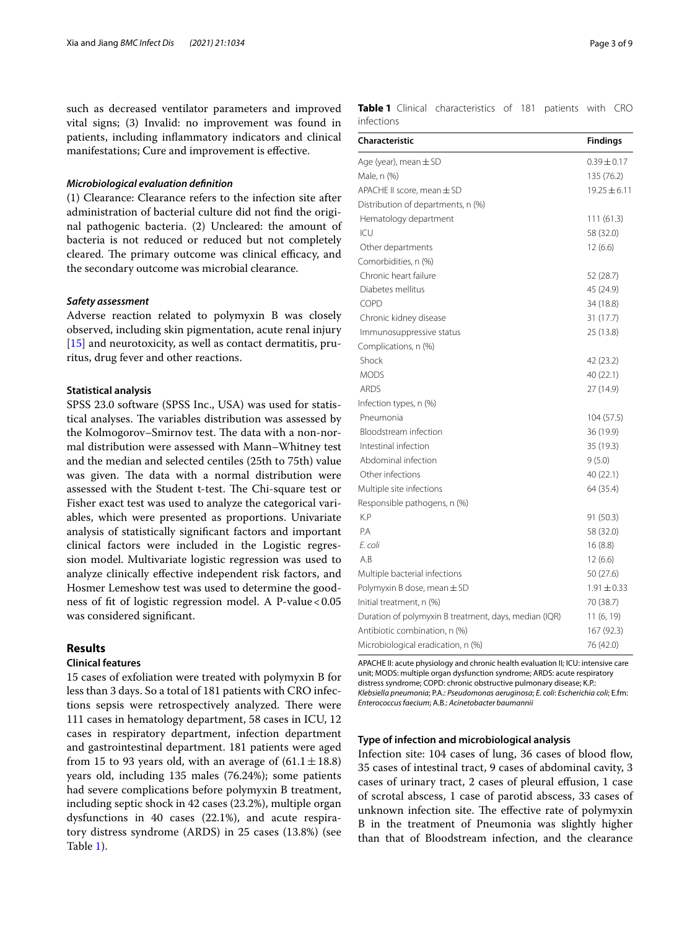such as decreased ventilator parameters and improved vital signs; (3) Invalid: no improvement was found in patients, including infammatory indicators and clinical manifestations; Cure and improvement is efective.

#### *Microbiological evaluation defnition*

(1) Clearance: Clearance refers to the infection site after administration of bacterial culture did not fnd the original pathogenic bacteria. (2) Uncleared: the amount of bacteria is not reduced or reduced but not completely cleared. The primary outcome was clinical efficacy, and the secondary outcome was microbial clearance.

#### *Safety assessment*

Adverse reaction related to polymyxin B was closely observed, including skin pigmentation, acute renal injury [[15\]](#page-7-14) and neurotoxicity, as well as contact dermatitis, pruritus, drug fever and other reactions.

# **Statistical analysis**

SPSS 23.0 software (SPSS Inc., USA) was used for statistical analyses. The variables distribution was assessed by the Kolmogorov–Smirnov test. The data with a non-normal distribution were assessed with Mann–Whitney test and the median and selected centiles (25th to 75th) value was given. The data with a normal distribution were assessed with the Student t-test. The Chi-square test or Fisher exact test was used to analyze the categorical variables, which were presented as proportions. Univariate analysis of statistically signifcant factors and important clinical factors were included in the Logistic regression model. Multivariate logistic regression was used to analyze clinically efective independent risk factors, and Hosmer Lemeshow test was used to determine the goodness of fit of logistic regression model. A P-value  $< 0.05$ was considered signifcant.

# **Results**

#### **Clinical features**

15 cases of exfoliation were treated with polymyxin B for less than 3 days. So a total of 181 patients with CRO infections sepsis were retrospectively analyzed. There were 111 cases in hematology department, 58 cases in ICU, 12 cases in respiratory department, infection department and gastrointestinal department. 181 patients were aged from 15 to 93 years old, with an average of  $(61.1 \pm 18.8)$ years old, including 135 males (76.24%); some patients had severe complications before polymyxin B treatment, including septic shock in 42 cases (23.2%), multiple organ dysfunctions in 40 cases (22.1%), and acute respiratory distress syndrome (ARDS) in 25 cases (13.8%) (see Table [1](#page-2-0)).

<span id="page-2-0"></span>**Table 1** Clinical characteristics of 181 patients with CRO infections

| Characteristic                                        | <b>Findings</b>  |
|-------------------------------------------------------|------------------|
| Age (year), mean $\pm$ SD                             | $0.39 \pm 0.17$  |
| Male, n (%)                                           | 135 (76.2)       |
| APACHE II score, mean $\pm$ SD                        | $19.25 \pm 6.11$ |
| Distribution of departments, n (%)                    |                  |
| Hematology department                                 | 111(61.3)        |
| ICU                                                   | 58 (32.0)        |
| Other departments                                     | 12(6.6)          |
| Comorbidities, n (%)                                  |                  |
| Chronic heart failure                                 | 52 (28.7)        |
| Diabetes mellitus                                     | 45 (24.9)        |
| COPD                                                  | 34 (18.8)        |
| Chronic kidney disease                                | 31 (17.7)        |
| Immunosuppressive status                              | 25 (13.8)        |
| Complications, n (%)                                  |                  |
| Shock                                                 | 42 (23.2)        |
| <b>MODS</b>                                           | 40 (22.1)        |
| <b>ARDS</b>                                           | 27 (14.9)        |
| Infection types, n (%)                                |                  |
| Pneumonia                                             | 104 (57.5)       |
| Bloodstream infection                                 | 36 (19.9)        |
| Intestinal infection                                  | 35 (19.3)        |
| Abdominal infection                                   | 9(5.0)           |
| Other infections                                      | 40 (22.1)        |
| Multiple site infections                              | 64 (35.4)        |
| Responsible pathogens, n (%)                          |                  |
| K.P                                                   | 91 (50.3)        |
| P.A                                                   | 58 (32.0)        |
| E. coli                                               | 16(8.8)          |
| A.B                                                   | 12(6.6)          |
| Multiple bacterial infections                         | 50 (27.6)        |
| Polymyxin B dose, mean $\pm$ SD                       | $1.91 \pm 0.33$  |
| Initial treatment, n (%)                              | 70 (38.7)        |
| Duration of polymyxin B treatment, days, median (IQR) | 11 (6, 19)       |
| Antibiotic combination, n (%)                         | 167 (92.3)       |
| Microbiological eradication, n (%)                    | 76 (42.0)        |

APACHE II: acute physiology and chronic health evaluation II; ICU: intensive care unit; MODS: multiple organ dysfunction syndrome; ARDS: acute respiratory distress syndrome; COPD: chronic obstructive pulmonary disease; K.P.: *Klebsiella pneumonia*; P.A.: *Pseudomonas aeruginosa*; *E. coli*: *Escherichia coli*; E.fm: *Enterococcus faecium*; A.B.: *Acinetobacter baumannii*

#### **Type of infection and microbiological analysis**

Infection site: 104 cases of lung, 36 cases of blood flow, 35 cases of intestinal tract, 9 cases of abdominal cavity, 3 cases of urinary tract, 2 cases of pleural efusion, 1 case of scrotal abscess, 1 case of parotid abscess, 33 cases of unknown infection site. The effective rate of polymyxin B in the treatment of Pneumonia was slightly higher than that of Bloodstream infection, and the clearance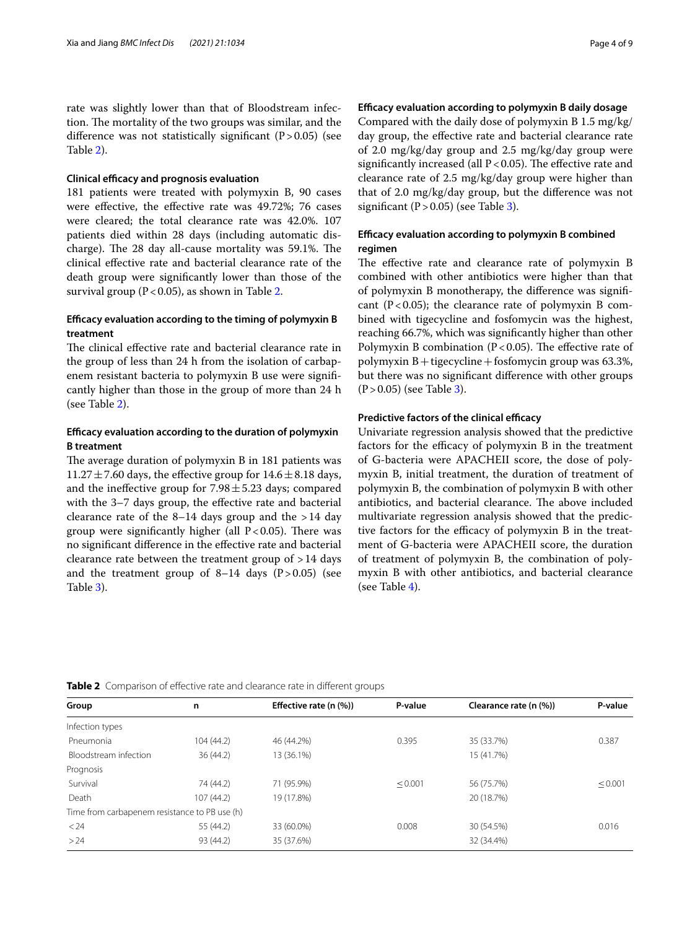rate was slightly lower than that of Bloodstream infection. The mortality of the two groups was similar, and the difference was not statistically significant  $(P > 0.05)$  (see Table [2](#page-3-0)).

#### **Clinical efficacy and prognosis evaluation**

181 patients were treated with polymyxin B, 90 cases were effective, the effective rate was 49.72%; 76 cases were cleared; the total clearance rate was 42.0%. 107 patients died within 28 days (including automatic discharge). The 28 day all-cause mortality was 59.1%. The clinical efective rate and bacterial clearance rate of the death group were signifcantly lower than those of the survival group ( $P < 0.05$ ), as shown in Table [2.](#page-3-0)

# **Efcacy evaluation according to the timing of polymyxin B treatment**

The clinical effective rate and bacterial clearance rate in the group of less than 24 h from the isolation of carbapenem resistant bacteria to polymyxin B use were signifcantly higher than those in the group of more than 24 h (see Table [2\)](#page-3-0).

# **Efcacy evaluation according to the duration of polymyxin B treatment**

The average duration of polymyxin B in 181 patients was  $11.27 \pm 7.60$  days, the effective group for  $14.6 \pm 8.18$  days, and the ineffective group for  $7.98 \pm 5.23$  days; compared with the 3–7 days group, the efective rate and bacterial clearance rate of the  $8-14$  days group and the  $>14$  day group were significantly higher (all  $P < 0.05$ ). There was no signifcant diference in the efective rate and bacterial clearance rate between the treatment group of >14 days and the treatment group of  $8-14$  days  $(P>0.05)$  (see Table [3](#page-4-0)).

## **Efcacy evaluation according to polymyxin B daily dosage**

Compared with the daily dose of polymyxin B 1.5 mg/kg/ day group, the efective rate and bacterial clearance rate of 2.0 mg/kg/day group and 2.5 mg/kg/day group were significantly increased (all  $P < 0.05$ ). The effective rate and clearance rate of 2.5 mg/kg/day group were higher than that of 2.0 mg/kg/day group, but the diference was not significant  $(P>0.05)$  (see Table [3](#page-4-0)).

# **Efcacy evaluation according to polymyxin B combined regimen**

The effective rate and clearance rate of polymyxin B combined with other antibiotics were higher than that of polymyxin B monotherapy, the diference was signifcant  $(P<0.05)$ ; the clearance rate of polymyxin B combined with tigecycline and fosfomycin was the highest, reaching 66.7%, which was signifcantly higher than other Polymyxin B combination ( $P < 0.05$ ). The effective rate of polymyxin  $B$  + tigecycline + fosfomycin group was 63.3%, but there was no signifcant diference with other groups  $(P > 0.05)$  (see Table [3\)](#page-4-0).

#### **Predictive factors of the clinical efficacy**

Univariate regression analysis showed that the predictive factors for the efficacy of polymyxin B in the treatment of G-bacteria were APACHEII score, the dose of polymyxin B, initial treatment, the duration of treatment of polymyxin B, the combination of polymyxin B with other antibiotics, and bacterial clearance. The above included multivariate regression analysis showed that the predictive factors for the efficacy of polymyxin B in the treatment of G-bacteria were APACHEII score, the duration of treatment of polymyxin B, the combination of polymyxin B with other antibiotics, and bacterial clearance (see Table [4\)](#page-5-0).

<span id="page-3-0"></span>**Table 2** Comparison of effective rate and clearance rate in different groups

| Group<br>n                                    |            | Effective rate (n (%)) | P-value | Clearance rate (n (%)) | P-value      |
|-----------------------------------------------|------------|------------------------|---------|------------------------|--------------|
| Infection types                               |            |                        |         |                        |              |
| Pneumonia                                     | 104 (44.2) | 46 (44.2%)             | 0.395   | 35 (33.7%)             | 0.387        |
| Bloodstream infection                         | 36(44.2)   | 13 (36.1%)             |         | 15 (41.7%)             |              |
| Prognosis                                     |            |                        |         |                        |              |
| Survival                                      | 74 (44.2)  | 71 (95.9%)             | < 0.001 | 56 (75.7%)             | $\leq 0.001$ |
| Death                                         | 107(44.2)  | 19 (17.8%)             |         | 20 (18.7%)             |              |
| Time from carbapenem resistance to PB use (h) |            |                        |         |                        |              |
| < 24                                          | 55 (44.2)  | 33 (60.0%)             | 0.008   | 30 (54.5%)             | 0.016        |
| >24                                           | 93 (44.2)  | 35 (37.6%)             |         | 32 (34.4%)             |              |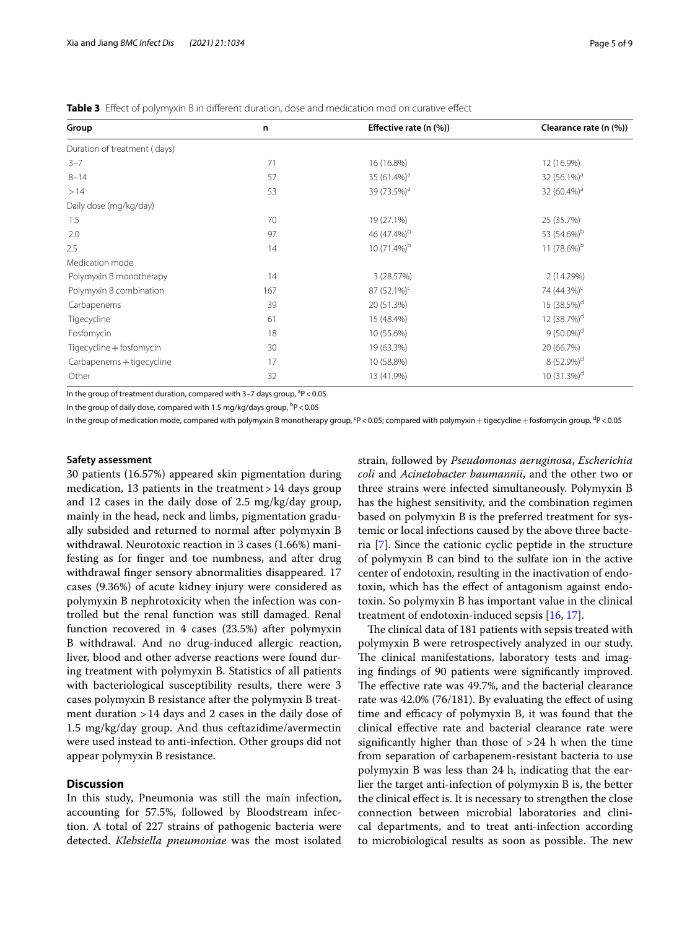<span id="page-4-0"></span>**Table 3** Efect of polymyxin B in diferent duration, dose and medication mod on curative efect

| Group                        | n   | Effective rate (n (%))  | Clearance rate (n (%))  |  |  |
|------------------------------|-----|-------------------------|-------------------------|--|--|
| Duration of treatment (days) |     |                         |                         |  |  |
| $3 - 7$                      | 71  | 16 (16.8%)              | 12 (16.9%)              |  |  |
| $8 - 14$                     | 57  | 35 (61.4%) <sup>a</sup> | 32 (56.1%) <sup>a</sup> |  |  |
| >14                          | 53  | 39 (73.5%) <sup>a</sup> | 32 (60.4%) <sup>a</sup> |  |  |
| Daily dose (mg/kg/day)       |     |                         |                         |  |  |
| 1.5                          | 70  | 19 (27.1%)              | 25 (35.7%)              |  |  |
| 2.0                          | 97  | 46 (47.4%) <sup>b</sup> | 53 (54.6%) <sup>b</sup> |  |  |
| 2.5                          | 14  | 10 (71.4%) <sup>b</sup> | 11 (78.6%) <sup>b</sup> |  |  |
| Medication mode              |     |                         |                         |  |  |
| Polymyxin B monotherapy      | 14  | 3 (28.57%)              | 2 (14.29%)              |  |  |
| Polymyxin B combination      | 167 | $87(52.1\%)^c$          | 74 (44.3%) <sup>c</sup> |  |  |
| Carbapenems                  | 39  | 20 (51.3%)              | 15 (38.5%) <sup>d</sup> |  |  |
| Tigecycline                  | 61  | 15 (48.4%)              | 12 (38.7%) <sup>d</sup> |  |  |
| Fosfomycin                   | 18  | 10 (55.6%)              | $9(50.0\%)^d$           |  |  |
| Tigecycline + fosfomycin     | 30  | 19 (63.3%)              | 20 (66.7%)              |  |  |
| Carbapenems + tigecycline    | 17  | 10 (58.8%)              | 8 (52.9%) <sup>d</sup>  |  |  |
| Other                        | 32  | 13 (41.9%)              | 10 $(31.3%)d$           |  |  |

In the group of treatment duration, compared with 3-7 days group, <sup>a</sup>P < 0.05

In the group of daily dose, compared with 1.5 mg/kg/days group, <sup>b</sup>P<0.05

In the group of medication mode, compared with polymyxin B monotherapy group, <mark>'P<0.05; compared with polymyxin+tigecycline+fosfomycin group, '</mark>P<0.05

#### **Safety assessment**

30 patients (16.57%) appeared skin pigmentation during medication, 13 patients in the treatment  $>14$  days group and 12 cases in the daily dose of 2.5 mg/kg/day group, mainly in the head, neck and limbs, pigmentation gradually subsided and returned to normal after polymyxin B withdrawal. Neurotoxic reaction in 3 cases (1.66%) manifesting as for fnger and toe numbness, and after drug withdrawal fnger sensory abnormalities disappeared. 17 cases (9.36%) of acute kidney injury were considered as polymyxin B nephrotoxicity when the infection was controlled but the renal function was still damaged. Renal function recovered in 4 cases (23.5%) after polymyxin B withdrawal. And no drug-induced allergic reaction, liver, blood and other adverse reactions were found during treatment with polymyxin B. Statistics of all patients with bacteriological susceptibility results, there were 3 cases polymyxin B resistance after the polymyxin B treatment duration  $>14$  days and 2 cases in the daily dose of 1.5 mg/kg/day group. And thus ceftazidime/avermectin were used instead to anti-infection. Other groups did not appear polymyxin B resistance.

# **Discussion**

In this study, Pneumonia was still the main infection, accounting for 57.5%, followed by Bloodstream infection. A total of 227 strains of pathogenic bacteria were detected. *Klebsiella pneumoniae* was the most isolated strain, followed by *Pseudomonas aeruginosa*, *Escherichia coli* and *Acinetobacter baumannii*, and the other two or three strains were infected simultaneously. Polymyxin B has the highest sensitivity, and the combination regimen based on polymyxin B is the preferred treatment for systemic or local infections caused by the above three bacteria [\[7](#page-7-6)]. Since the cationic cyclic peptide in the structure of polymyxin B can bind to the sulfate ion in the active center of endotoxin, resulting in the inactivation of endotoxin, which has the efect of antagonism against endotoxin. So polymyxin B has important value in the clinical treatment of endotoxin-induced sepsis [[16](#page-7-15), [17\]](#page-7-16).

The clinical data of 181 patients with sepsis treated with polymyxin B were retrospectively analyzed in our study. The clinical manifestations, laboratory tests and imaging fndings of 90 patients were signifcantly improved. The effective rate was 49.7%, and the bacterial clearance rate was 42.0% (76/181). By evaluating the efect of using time and efficacy of polymyxin B, it was found that the clinical efective rate and bacterial clearance rate were significantly higher than those of  $>24$  h when the time from separation of carbapenem-resistant bacteria to use polymyxin B was less than 24 h, indicating that the earlier the target anti-infection of polymyxin B is, the better the clinical efect is. It is necessary to strengthen the close connection between microbial laboratories and clinical departments, and to treat anti-infection according to microbiological results as soon as possible. The new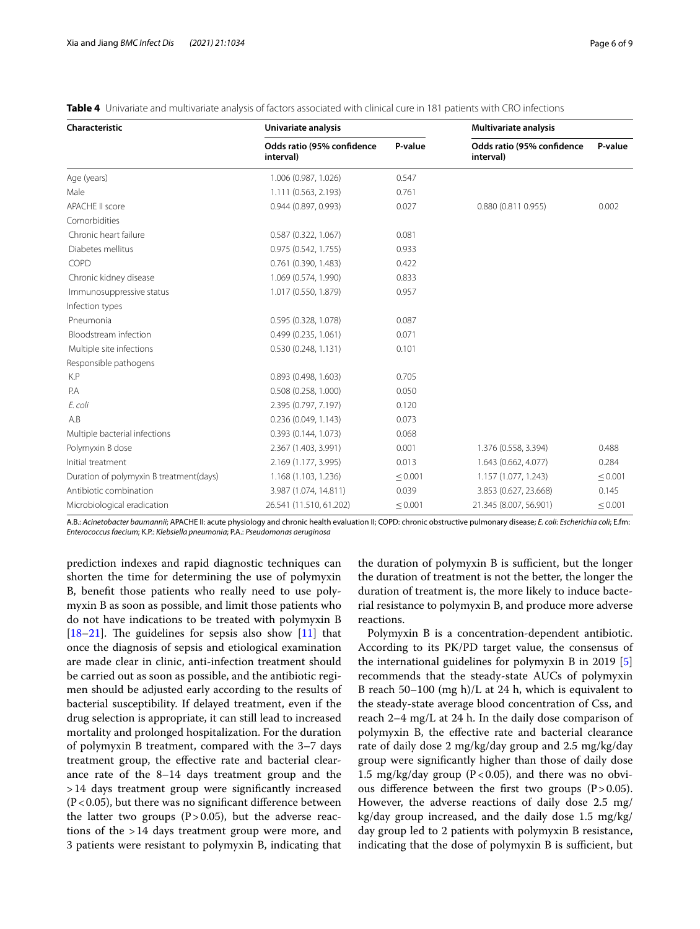| <b>Characteristic</b>                   | Univariate analysis                     |              | Multivariate analysis                   |              |  |  |
|-----------------------------------------|-----------------------------------------|--------------|-----------------------------------------|--------------|--|--|
|                                         | Odds ratio (95% confidence<br>interval) | P-value      | Odds ratio (95% confidence<br>interval) | P-value      |  |  |
| Age (years)                             | 1.006 (0.987, 1.026)                    | 0.547        |                                         |              |  |  |
| Male                                    | 1.111 (0.563, 2.193)                    | 0.761        |                                         |              |  |  |
| APACHE II score                         | 0.944(0.897, 0.993)                     | 0.027        | 0.880 (0.811 0.955)                     | 0.002        |  |  |
| Comorbidities                           |                                         |              |                                         |              |  |  |
| Chronic heart failure                   | 0.587(0.322, 1.067)                     | 0.081        |                                         |              |  |  |
| Diabetes mellitus                       | 0.975(0.542, 1.755)                     | 0.933        |                                         |              |  |  |
| COPD                                    | 0.761(0.390, 1.483)                     | 0.422        |                                         |              |  |  |
| Chronic kidney disease                  | 1.069 (0.574, 1.990)                    | 0.833        |                                         |              |  |  |
| Immunosuppressive status                | 1.017 (0.550, 1.879)                    | 0.957        |                                         |              |  |  |
| Infection types                         |                                         |              |                                         |              |  |  |
| Pneumonia                               | 0.595 (0.328, 1.078)                    | 0.087        |                                         |              |  |  |
| Bloodstream infection                   | 0.499(0.235, 1.061)                     | 0.071        |                                         |              |  |  |
| Multiple site infections                | 0.530(0.248, 1.131)                     | 0.101        |                                         |              |  |  |
| Responsible pathogens                   |                                         |              |                                         |              |  |  |
| K.P                                     | 0.893(0.498, 1.603)                     | 0.705        |                                         |              |  |  |
| P.A                                     | 0.508(0.258, 1.000)                     | 0.050        |                                         |              |  |  |
| E. coli                                 | 2.395 (0.797, 7.197)                    | 0.120        |                                         |              |  |  |
| A.B                                     | 0.236(0.049, 1.143)                     | 0.073        |                                         |              |  |  |
| Multiple bacterial infections           | 0.393(0.144, 1.073)                     | 0.068        |                                         |              |  |  |
| Polymyxin B dose                        | 2.367 (1.403, 3.991)                    | 0.001        | 1.376 (0.558, 3.394)                    | 0.488        |  |  |
| Initial treatment                       | 2.169 (1.177, 3.995)                    | 0.013        | 1.643 (0.662, 4.077)                    | 0.284        |  |  |
| Duration of polymyxin B treatment(days) | 1.168 (1.103, 1.236)                    | < 0.001      | 1.157 (1.077, 1.243)                    | $\leq 0.001$ |  |  |
| Antibiotic combination                  | 3.987 (1.074, 14.811)                   | 0.039        | 3.853 (0.627, 23.668)                   | 0.145        |  |  |
| Microbiological eradication             | 26.541 (11.510, 61.202)                 | $\leq 0.001$ | 21.345 (8.007, 56.901)                  | $\leq 0.001$ |  |  |

<span id="page-5-0"></span>

|  | Table 4 Univariate and multivariate analysis of factors associated with clinical cure in 181 patients with CRO infections |  |  |  |  |  |  |
|--|---------------------------------------------------------------------------------------------------------------------------|--|--|--|--|--|--|
|--|---------------------------------------------------------------------------------------------------------------------------|--|--|--|--|--|--|

A.B.: *Acinetobacter baumannii*; APACHE II: acute physiology and chronic health evaluation II; COPD: chronic obstructive pulmonary disease; *E. coli*: *Escherichia coli*; E.fm: *Enterococcus faecium*; K.P.: *Klebsiella pneumonia*; P.A.: *Pseudomonas aeruginosa*

prediction indexes and rapid diagnostic techniques can shorten the time for determining the use of polymyxin B, beneft those patients who really need to use polymyxin B as soon as possible, and limit those patients who do not have indications to be treated with polymyxin B  $[18–21]$  $[18–21]$  $[18–21]$  $[18–21]$ . The guidelines for sepsis also show  $[11]$  $[11]$  $[11]$  that once the diagnosis of sepsis and etiological examination are made clear in clinic, anti-infection treatment should be carried out as soon as possible, and the antibiotic regimen should be adjusted early according to the results of bacterial susceptibility. If delayed treatment, even if the drug selection is appropriate, it can still lead to increased mortality and prolonged hospitalization. For the duration of polymyxin B treatment, compared with the 3–7 days treatment group, the efective rate and bacterial clearance rate of the 8–14 days treatment group and the >14 days treatment group were signifcantly increased  $(P<0.05)$ , but there was no significant difference between the latter two groups  $(P>0.05)$ , but the adverse reactions of the >14 days treatment group were more, and 3 patients were resistant to polymyxin B, indicating that

the duration of polymyxin B is sufficient, but the longer the duration of treatment is not the better, the longer the duration of treatment is, the more likely to induce bacterial resistance to polymyxin B, and produce more adverse reactions.

Polymyxin B is a concentration-dependent antibiotic. According to its PK/PD target value, the consensus of the international guidelines for polymyxin B in 2019 [\[5](#page-7-4)] recommends that the steady-state AUCs of polymyxin B reach 50–100 (mg h)/L at 24 h, which is equivalent to the steady-state average blood concentration of Css, and reach 2–4 mg/L at 24 h. In the daily dose comparison of polymyxin B, the efective rate and bacterial clearance rate of daily dose 2 mg/kg/day group and 2.5 mg/kg/day group were signifcantly higher than those of daily dose 1.5  $mg/kg/day$  group (P<0.05), and there was no obvious difference between the first two groups  $(P > 0.05)$ . However, the adverse reactions of daily dose 2.5 mg/ kg/day group increased, and the daily dose 1.5 mg/kg/ day group led to 2 patients with polymyxin B resistance, indicating that the dose of polymyxin B is sufficient, but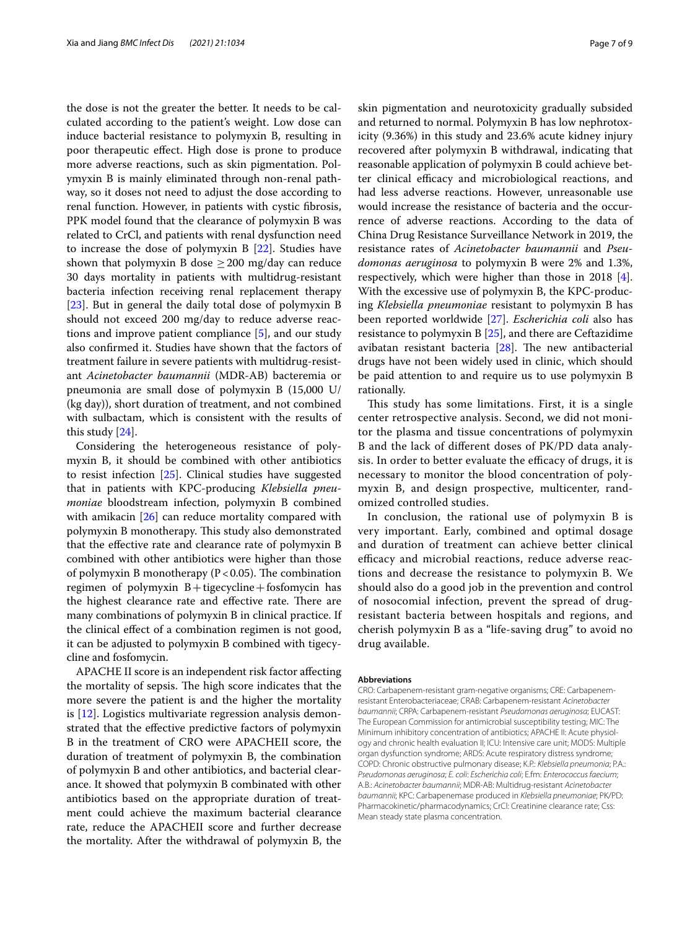the dose is not the greater the better. It needs to be calculated according to the patient's weight. Low dose can induce bacterial resistance to polymyxin B, resulting in poor therapeutic efect. High dose is prone to produce more adverse reactions, such as skin pigmentation. Polymyxin B is mainly eliminated through non-renal pathway, so it doses not need to adjust the dose according to renal function. However, in patients with cystic fbrosis, PPK model found that the clearance of polymyxin B was related to CrCl, and patients with renal dysfunction need to increase the dose of polymyxin B [[22\]](#page-7-19). Studies have shown that polymyxin B dose  $\geq$  200 mg/day can reduce 30 days mortality in patients with multidrug-resistant bacteria infection receiving renal replacement therapy [[23\]](#page-7-20). But in general the daily total dose of polymyxin B should not exceed 200 mg/day to reduce adverse reactions and improve patient compliance [[5\]](#page-7-4), and our study also confrmed it. Studies have shown that the factors of treatment failure in severe patients with multidrug-resistant *Acinetobacter baumannii* (MDR-AB) bacteremia or pneumonia are small dose of polymyxin B (15,000 U/ (kg day)), short duration of treatment, and not combined with sulbactam, which is consistent with the results of this study [[24](#page-7-21)].

Considering the heterogeneous resistance of polymyxin B, it should be combined with other antibiotics to resist infection [\[25](#page-7-22)]. Clinical studies have suggested that in patients with KPC-producing *Klebsiella pneumoniae* bloodstream infection, polymyxin B combined with amikacin [[26\]](#page-8-0) can reduce mortality compared with polymyxin B monotherapy. This study also demonstrated that the efective rate and clearance rate of polymyxin B combined with other antibiotics were higher than those of polymyxin B monotherapy ( $P < 0.05$ ). The combination regimen of polymyxin  $B+$ tigecycline + fosfomycin has the highest clearance rate and effective rate. There are many combinations of polymyxin B in clinical practice. If the clinical efect of a combination regimen is not good, it can be adjusted to polymyxin B combined with tigecycline and fosfomycin.

APACHE II score is an independent risk factor afecting the mortality of sepsis. The high score indicates that the more severe the patient is and the higher the mortality is [\[12](#page-7-11)]. Logistics multivariate regression analysis demonstrated that the efective predictive factors of polymyxin B in the treatment of CRO were APACHEII score, the duration of treatment of polymyxin B, the combination of polymyxin B and other antibiotics, and bacterial clearance. It showed that polymyxin B combinated with other antibiotics based on the appropriate duration of treatment could achieve the maximum bacterial clearance rate, reduce the APACHEII score and further decrease the mortality. After the withdrawal of polymyxin B, the skin pigmentation and neurotoxicity gradually subsided and returned to normal. Polymyxin B has low nephrotoxicity (9.36%) in this study and 23.6% acute kidney injury recovered after polymyxin B withdrawal, indicating that reasonable application of polymyxin B could achieve better clinical efficacy and microbiological reactions, and had less adverse reactions. However, unreasonable use would increase the resistance of bacteria and the occurrence of adverse reactions. According to the data of China Drug Resistance Surveillance Network in 2019, the resistance rates of *Acinetobacter baumannii* and *Pseudomonas aeruginosa* to polymyxin B were 2% and 1.3%, respectively, which were higher than those in 2018  $[4]$  $[4]$ . With the excessive use of polymyxin B, the KPC-producing *Klebsiella pneumoniae* resistant to polymyxin B has been reported worldwide [[27\]](#page-8-1). *Escherichia coli* also has resistance to polymyxin B [\[25](#page-7-22)], and there are Ceftazidime avibatan resistant bacteria  $[28]$  $[28]$ . The new antibacterial drugs have not been widely used in clinic, which should be paid attention to and require us to use polymyxin B rationally.

This study has some limitations. First, it is a single center retrospective analysis. Second, we did not monitor the plasma and tissue concentrations of polymyxin B and the lack of diferent doses of PK/PD data analysis. In order to better evaluate the efficacy of drugs, it is necessary to monitor the blood concentration of polymyxin B, and design prospective, multicenter, randomized controlled studies.

In conclusion, the rational use of polymyxin B is very important. Early, combined and optimal dosage and duration of treatment can achieve better clinical efficacy and microbial reactions, reduce adverse reactions and decrease the resistance to polymyxin B. We should also do a good job in the prevention and control of nosocomial infection, prevent the spread of drugresistant bacteria between hospitals and regions, and cherish polymyxin B as a "life-saving drug" to avoid no drug available.

#### **Abbreviations**

CRO: Carbapenem-resistant gram-negative organisms; CRE: Carbapenemresistant Enterobacteriaceae; CRAB: Carbapenem-resistant *Acinetobacter baumannii*; CRPA: Carbapenem-resistant *Pseudomonas aeruginosa*; EUCAST: The European Commission for antimicrobial susceptibility testing; MIC: The Minimum inhibitory concentration of antibiotics; APACHE II: Acute physiology and chronic health evaluation II; ICU: Intensive care unit; MODS: Multiple organ dysfunction syndrome; ARDS: Acute respiratory distress syndrome; COPD: Chronic obstructive pulmonary disease; K.P.: *Klebsiella pneumonia*; P.A.: *Pseudomonas aeruginosa*; *E. coli*: *Escherichia coli*; E.fm: *Enterococcus faecium*; A.B.: *Acinetobacter baumannii*; MDR-AB: Multidrug-resistant *Acinetobacter baumannii*; KPC: Carbapenemase produced in *Klebsiella pneumoniae*; PK/PD: Pharmacokinetic/pharmacodynamics; CrCl: Creatinine clearance rate; Css: Mean steady state plasma concentration.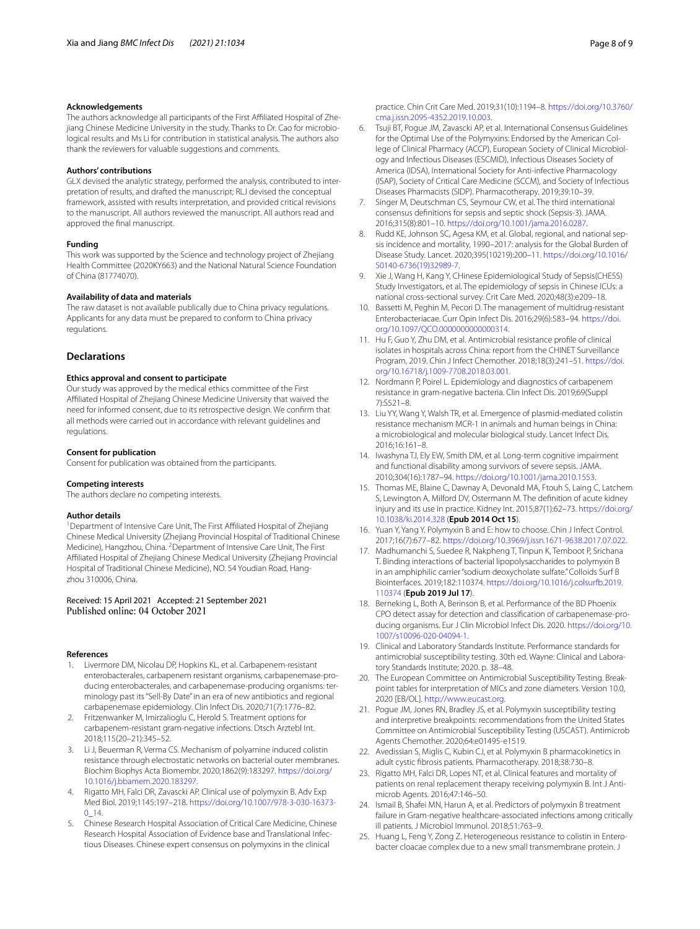#### **Acknowledgements**

The authors acknowledge all participants of the First Afliated Hospital of Zhejiang Chinese Medicine University in the study. Thanks to Dr. Cao for microbiological results and Ms Li for contribution in statistical analysis. The authors also thank the reviewers for valuable suggestions and comments.

#### **Authors' contributions**

GLX devised the analytic strategy, performed the analysis, contributed to interpretation of results, and drafted the manuscript; RLJ devised the conceptual framework, assisted with results interpretation, and provided critical revisions to the manuscript. All authors reviewed the manuscript. All authors read and approved the fnal manuscript.

#### **Funding**

This work was supported by the Science and technology project of Zhejiang Health Committee (2020KY663) and the National Natural Science Foundation of China (81774070).

#### **Availability of data and materials**

The raw dataset is not available publically due to China privacy regulations. Applicants for any data must be prepared to conform to China privacy regulations.

#### **Declarations**

# **Ethics approval and consent to participate**

Our study was approved by the medical ethics committee of the First Afliated Hospital of Zhejiang Chinese Medicine University that waived the need for informed consent, due to its retrospective design. We confrm that all methods were carried out in accordance with relevant guidelines and regulations.

#### **Consent for publication**

Consent for publication was obtained from the participants.

#### **Competing interests**

The authors declare no competing interests.

#### **Author details**

<sup>1</sup> Department of Intensive Care Unit, The First Affiliated Hospital of Zhejiang Chinese Medical University (Zhejiang Provincial Hospital of Traditional Chinese Medicine), Hangzhou, China. <sup>2</sup> Department of Intensive Care Unit, The First Afliated Hospital of Zhejiang Chinese Medical University (Zhejiang Provincial Hospital of Traditional Chinese Medicine), NO. 54 Youdian Road, Hangzhou 310006, China.

# Received: 15 April 2021 Accepted: 21 September 2021

#### **References**

- <span id="page-7-0"></span>Livermore DM, Nicolau DP, Hopkins KL, et al. Carbapenem-resistant enterobacterales, carbapenem resistant organisms, carbapenemase-producing enterobacterales, and carbapenemase-producing organisms: terminology past its "Sell-By Date" in an era of new antibiotics and regional carbapenemase epidemiology. Clin Infect Dis. 2020;71(7):1776–82.
- <span id="page-7-1"></span>2. Fritzenwanker M, Imirzalioglu C, Herold S. Treatment options for carbapenem-resistant gram-negative infections. Dtsch Arztebl Int. 2018;115(20–21):345–52.
- <span id="page-7-2"></span>3. Li J, Beuerman R, Verma CS. Mechanism of polyamine induced colistin resistance through electrostatic networks on bacterial outer membranes. Biochim Biophys Acta Biomembr. 2020;1862(9):183297. [https://doi.org/](https://doi.org/10.1016/j.bbamem.2020.183297) [10.1016/j.bbamem.2020.183297](https://doi.org/10.1016/j.bbamem.2020.183297).
- <span id="page-7-3"></span>4. Rigatto MH, Falci DR, Zavascki AP. Clinical use of polymyxin B. Adv Exp Med Biol. 2019;1145:197–218. [https://doi.org/10.1007/978-3-030-16373-](https://doi.org/10.1007/978-3-030-16373-0_14) [0\\_14](https://doi.org/10.1007/978-3-030-16373-0_14).
- <span id="page-7-4"></span>5. Chinese Research Hospital Association of Critical Care Medicine, Chinese Research Hospital Association of Evidence base and Translational Infectious Diseases. Chinese expert consensus on polymyxins in the clinical

practice. Chin Crit Care Med. 2019;31(10):1194–8. [https://doi.org/10.3760/](https://doi.org/10.3760/cma.j.issn.2095-4352.2019.10.003) [cma.j.issn.2095-4352.2019.10.003.](https://doi.org/10.3760/cma.j.issn.2095-4352.2019.10.003)

- <span id="page-7-5"></span>6. Tsuji BT, Pogue JM, Zavascki AP, et al. International Consensus Guidelines for the Optimal Use of the Polymyxins: Endorsed by the American College of Clinical Pharmacy (ACCP), European Society of Clinical Microbiology and Infectious Diseases (ESCMID), Infectious Diseases Society of America (IDSA), International Society for Anti-infective Pharmacology (ISAP), Society of Critical Care Medicine (SCCM), and Society of Infectious Diseases Pharmacists (SIDP). Pharmacotherapy. 2019;39:10–39.
- <span id="page-7-6"></span>7. Singer M, Deutschman CS, Seymour CW, et al. The third international consensus defnitions for sepsis and septic shock (Sepsis-3). JAMA. 2016;315(8):801–10. [https://doi.org/10.1001/jama.2016.0287.](https://doi.org/10.1001/jama.2016.0287)
- <span id="page-7-7"></span>Rudd KE, Johnson SC, Agesa KM, et al. Global, regional, and national sepsis incidence and mortality, 1990–2017: analysis for the Global Burden of Disease Study. Lancet. 2020;395(10219):200–11. [https://doi.org/10.1016/](https://doi.org/10.1016/S0140-6736(19)32989-7) [S0140-6736\(19\)32989-7](https://doi.org/10.1016/S0140-6736(19)32989-7).
- <span id="page-7-8"></span>9. Xie J, Wang H, Kang Y, CHinese Epidemiological Study of Sepsis(CHESS) Study Investigators, et al. The epidemiology of sepsis in Chinese ICUs: a national cross-sectional survey. Crit Care Med. 2020;48(3):e209–18.
- <span id="page-7-9"></span>10. Bassetti M, Peghin M, Pecori D. The management of multidrug-resistant Enterobacteriacae. Curr Opin Infect Dis. 2016;29(6):583–94. [https://doi.](https://doi.org/10.1097/QCO.0000000000000314) [org/10.1097/QCO.0000000000000314](https://doi.org/10.1097/QCO.0000000000000314).
- <span id="page-7-10"></span>11. Hu F, Guo Y, Zhu DM, et al. Antimicrobial resistance profle of clinical isolates in hospitals across China: report from the CHINET Surveillance Program, 2019. Chin J Infect Chemother. 2018;18(3):241–51. [https://doi.](https://doi.org/10.16718/j.1009-7708.2018.03.001) [org/10.16718/j.1009-7708.2018.03.001](https://doi.org/10.16718/j.1009-7708.2018.03.001).
- <span id="page-7-11"></span>12. Nordmann P, Poirel L. Epidemiology and diagnostics of carbapenem resistance in gram-negative bacteria. Clin Infect Dis. 2019;69(Suppl 7):S521–8.
- <span id="page-7-12"></span>13. Liu YY, Wang Y, Walsh TR, et al. Emergence of plasmid-mediated colistin resistance mechanism MCR-1 in animals and human beings in China: a microbiological and molecular biological study. Lancet Infect Dis. 2016;16:161–8.
- <span id="page-7-13"></span>14. Iwashyna TJ, Ely EW, Smith DM, et al. Long-term cognitive impairment and functional disability among survivors of severe sepsis. JAMA. 2010;304(16):1787–94. <https://doi.org/10.1001/jama.2010.1553>.
- <span id="page-7-14"></span>15. Thomas ME, Blaine C, Dawnay A, Devonald MA, Ftouh S, Laing C, Latchem S, Lewington A, Milford DV, Ostermann M. The defnition of acute kidney injury and its use in practice. Kidney Int. 2015;87(1):62–73. [https://doi.org/](https://doi.org/10.1038/ki.2014.328) [10.1038/ki.2014.328](https://doi.org/10.1038/ki.2014.328) (**Epub 2014 Oct 15**).
- <span id="page-7-15"></span>16. Yuan Y, Yang Y. Polymyxin B and E: how to choose. Chin J Infect Control. 2017;16(7):677–82. <https://doi.org/10.3969/j.issn.1671-9638.2017.07.022>.
- <span id="page-7-16"></span>17. Madhumanchi S, Suedee R, Nakpheng T, Tinpun K, Temboot P, Srichana T. Binding interactions of bacterial lipopolysaccharides to polymyxin B in an amphiphilic carrier "sodium deoxycholate sulfate." Colloids Surf B Biointerfaces. 2019;182:110374. [https://doi.org/10.1016/j.colsurfb.2019.](https://doi.org/10.1016/j.colsurfb.2019.110374) [110374](https://doi.org/10.1016/j.colsurfb.2019.110374) (**Epub 2019 Jul 17**).
- <span id="page-7-17"></span>18. Berneking L, Both A, Berinson B, et al. Performance of the BD Phoenix CPO detect assay for detection and classifcation of carbapenemase-producing organisms. Eur J Clin Microbiol Infect Dis. 2020. [https://doi.org/10.](https://doi.org/10.1007/s10096-020-04094-1) [1007/s10096-020-04094-1.](https://doi.org/10.1007/s10096-020-04094-1)
- 19. Clinical and Laboratory Standards Institute. Performance standards for antimicrobial susceptibility testing. 30th ed. Wayne: Clinical and Laboratory Standards Institute; 2020. p. 38–48.
- 20. The European Committee on Antimicrobial Susceptibility Testing. Breakpoint tables for interpretation of MICs and zone diameters. Version 10.0, 2020 [EB/OL]. [http://www.eucast.org.](http://www.eucast.org)
- <span id="page-7-18"></span>21. Pogue JM, Jones RN, Bradley JS, et al. Polymyxin susceptibility testing and interpretive breakpoints: recommendations from the United States Committee on Antimicrobial Susceptibility Testing (USCAST). Antimicrob Agents Chemother. 2020;64:e01495-e1519.
- <span id="page-7-19"></span>22. Avedissian S, Miglis C, Kubin CJ, et al. Polymyxin B pharmacokinetics in adult cystic fbrosis patients. Pharmacotherapy. 2018;38:730–8.
- <span id="page-7-20"></span>23. Rigatto MH, Falci DR, Lopes NT, et al. Clinical features and mortality of patients on renal replacement therapy receiving polymyxin B. Int J Antimicrob Agents. 2016;47:146–50.
- <span id="page-7-21"></span>24. Ismail B, Shafei MN, Harun A, et al. Predictors of polymyxin B treatment failure in Gram-negative healthcare-associated infections among critically ill patients. J Microbiol Immunol. 2018;51:763–9.
- <span id="page-7-22"></span>25. Huang L, Feng Y, Zong Z. Heterogeneous resistance to colistin in Enterobacter cloacae complex due to a new small transmembrane protein. J